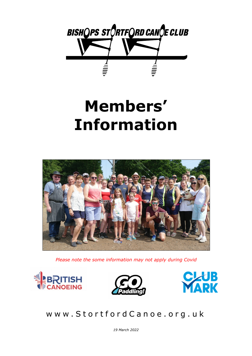

# **Members' Information**



*Please note the some information may not apply during Covid*







### www.StortfordCanoe.org.uk

*19 March 2022*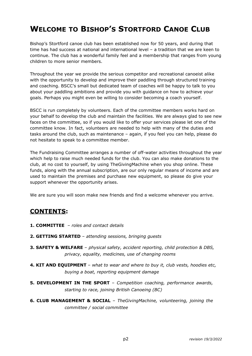### **WELCOME TO BISHOP'S STORTFORD CANOE CLUB**

Bishop's Stortford canoe club has been established now for 50 years, and during that time has had success at national and international level – a tradition that we are keen to continue. The club has a wonderful family feel and a membership that ranges from young children to more senior members.

Throughout the year we provide the serious competitor and recreational canoeist alike with the opportunity to develop and improve their paddling through structured training and coaching. BSCC's small but dedicated team of coaches will be happy to talk to you about your paddling ambitions and provide you with guidance on how to achieve your goals. Perhaps you might even be willing to consider becoming a coach yourself.

BSCC is run completely by volunteers. Each of the committee members works hard on your behalf to develop the club and maintain the facilities. We are always glad to see new faces on the committee, so if you would like to offer your services please let one of the committee know. In fact, volunteers are needed to help with many of the duties and tasks around the club, such as maintenance – again, if you feel you can help, please do not hesitate to speak to a committee member.

The Fundraising Committee arranges a number of off-water activities throughout the year which help to raise much needed funds for the club. You can also make donations to the club, at no cost to yourself, by using TheGivingMachine when you shop online. These funds, along with the annual subscription, are our only regular means of income and are used to maintain the premises and purchase new equipment, so please do give your support whenever the opportunity arises.

We are sure you will soon make new friends and find a welcome whenever you arrive.

### **CONTENTS:**

- **1. COMMITTEE** – *roles and contact details*
- **2. GETTING STARTED** – *attending sessions, bringing guests*
- **3. SAFETY & WELFARE** – *physical safety, accident reporting, child protection & DBS, privacy, equality, medicines, use of changing rooms*
- **4. KIT AND EQUIPMENT** – *what to wear and where to buy it, club vests, hoodies etc, buying a boat, reporting equipment damage*
- **5. DEVELOPMENT IN THE SPORT** – *Competition coaching, performance awards, starting to race, joining British Canoeing (BC)*
- **6. CLUB MANAGEMENT & SOCIAL** – *TheGivingMachine, volunteering, joining the committee / social committee*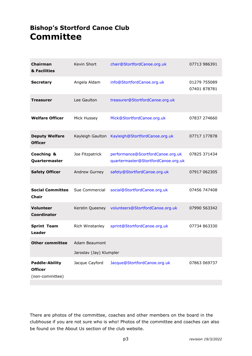### **Bishop's Stortford Canoe Club Committee**

| Chairman<br>& Facilities                                   | Kevin Short                              | chair@StortfordCanoe.org.uk                                              | 07713 986391                 |
|------------------------------------------------------------|------------------------------------------|--------------------------------------------------------------------------|------------------------------|
| <b>Secretary</b>                                           | Angela Aldam                             | info@StortfordCanoe.org.uk                                               | 01279 755089<br>07401 878781 |
| <b>Treasurer</b>                                           | Lee Gaulton                              | treasurer@StortfordCanoe.org.uk                                          |                              |
| <b>Welfare Officer</b>                                     | Mick Hussey                              | Mick@StortfordCanoe.org.uk                                               | 07837 274660                 |
| <b>Deputy Welfare</b><br><b>Officer</b>                    | Kayleigh Gaulton                         | Kayleigh@StortfordCanoe.org.uk                                           | 07717 177878                 |
| Coaching &<br>Quartermaster                                | Joe Fitzpatrick                          | performance@ScortfordCanoe.org.uk<br>quartermaster@StortfordCanoe.org.uk | 07825 371434                 |
| <b>Safety Officer</b>                                      | Andrew Gurney                            | safety@StortfordCanoe.org.uk                                             | 07917 062305                 |
| <b>Social Committee</b><br><b>Chair</b>                    | Sue Commercial                           | social@StortfordCanoe.org.uk                                             | 07456 747408                 |
| <b>Volunteer</b><br>Coordinator                            | Kerstin Queeney                          | volunteers@StortfordCanoe.org.uk                                         | 07990 563342                 |
| <b>Sprint Team</b><br>Leader                               | Rich Winstanley                          | sprint@StortfordCanoe.org.uk                                             | 07734 863330                 |
| <b>Other committee</b>                                     | Adam Beaumont<br>Jaroslav (Jay) Klumpler |                                                                          |                              |
| <b>Paddle-Ability</b><br><b>Officer</b><br>(non-committee) | Jacque Cayford                           | Jacque@StortfordCanoe.org.uk                                             | 07863 069737                 |

There are photos of the committee, coaches and other members on the board in the clubhouse if you are not sure who is who! Photos of the committee and coaches can also be found on the About Us section of the club website.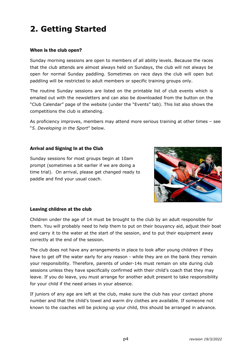## **2. Getting Started**

#### When is the club open?

Sunday morning sessions are open to members of all ability levels. Because the races that the club attends are almost always held on Sundays, the club will not always be open for normal Sunday paddling. Sometimes on race days the club will open but paddling will be restricted to adult members or specific training groups only.

The routine Sunday sessions are listed on the printable list of club events which is emailed out with the newsletters and can also be downloaded from the button on the "Club Calendar" page of the website (under the "Events" tab). This list also shows the competitions the club is attending.

As proficiency improves, members may attend more serious training at other times – see "*5. Developing in the Sport*" below.

#### Arrival and Signing In at the Club

Sunday sessions for most groups begin at 10am prompt (sometimes a bit earlier if we are doing a time trial). On arrival, please get changed ready to paddle and find your usual coach.



#### Leaving children at the club

Children under the age of 14 must be brought to the club by an adult responsible for them. You will probably need to help them to put on their bouyancy aid, adjust their boat and carry it to the water at the start of the session, and to put their equipment away correctly at the end of the session.

The club does not have any arrangements in place to look after young children if they have to get off the water early for any reason - while they are on the bank they remain your responsibility. Therefore, parents of under-14s must remain on site during club sessions unless they have specifically confirmed with their child's coach that they may leave. If you do leave, you must arrange for another adult present to take responsibility for your child if the need arises in your absence.

If juniors of any age are left at the club, make sure the club has your contact phone number and that the child's towel and warm dry clothes are available. If someone not known to the coaches will be picking up your child, this should be arranged in advance.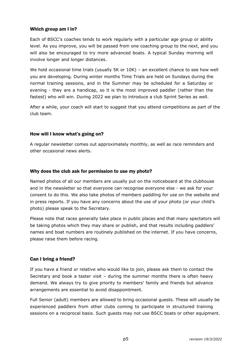#### Which group am I in?

Each of BSCC's coaches tends to work regularly with a particular age group or ability level. As you improve, you will be passed from one coaching group to the next, and you will also be encouraged to try more advanced boats. A typical Sunday morning will involve longer and longer distances.

We hold occasional time trials (usually 5K or 10K) - an excellent chance to see how well you are developing. During winter months Time Trials are held on Sundays during the normal training sessions, and in the Summer may be scheduled for a Saturday or evening - they are a handicap, so it is the most improved paddler (rather than the fastest) who will win. During 2022 we plan to introduce a club Sprint Series as well.

After a while, your coach will start to suggest that you attend competitions as part of the club team.

#### How will I know what's going on?

A regular newsletter comes out approximately monthly, as well as race reminders and other occasional news alerts.

#### Why does the club ask for permission to use my photo?

Named photos of all our members are usually put on the noticeboard at the clubhouse and in the newsletter so that everyone can recognise everyone else - we ask for your consent to do this. We also take photos of members paddling for use on the website and in press reports. If you have any concerns about the use of your photo (or your child's photo) please speak to the Secretary.

Please note that races generally take place in public places and that many spectators will be taking photos which they may share or publish, and that results including paddlers' names and boat numbers are routinely published on the internet. If you have concerns, please raise them before racing.

#### Can I bring a friend?

If you have a friend or relative who would like to join, please ask them to contact the Secretary and book a taster visit – during the summer months there is often heavy demand. We always try to give priority to members' family and friends but advance arrangements are essential to avoid disappointment.

Full Senior (adult) members are allowed to bring occasional guests. These will usually be experienced paddlers from other clubs coming to participate in structured training sessions on a reciprocal basis. Such guests may not use BSCC boats or other equipment.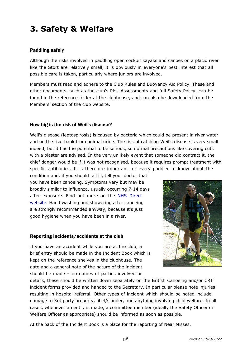### **3. Safety & Welfare**

#### Paddling safely

Although the risks involved in paddling open cockpit kayaks and canoes on a placid river like the Stort are relatively small, it is obviously in everyone's best interest that all possible care is taken, particularly where juniors are involved.

Members must read and adhere to the Club Rules and Buoyancy Aid Policy. These and other documents, such as the club's Risk Assessments and full Safety Policy, can be found in the reference folder at the clubhouse, and can also be downloaded from the Members' section of the club website.

#### How big is the risk of Weil's disease?

Weil's disease (leptospirosis) is caused by bacteria which could be present in river water and on the riverbank from animal urine. The risk of catching Weil's disease is very small indeed, but it has the potential to be serious, so normal precautions like covering cuts with a plaster are advised. In the very unlikely event that someone did contract it, the chief danger would be if it was not recognised, because it requires prompt treatment with specific antibiotics. It is therefore important for every paddler to know about the

condition and, if you should fall ill, tell your doctor that you have been canoeing. Symptoms vary but may be broadly similar to influenza, usually occurring 7-14 days after exposure. Find out more on the [NHS Direct](http://www.nhs.uk/Conditions/Leptospirosis/Pages/Introduction.aspx) [website](http://www.nhs.uk/Conditions/Leptospirosis/Pages/Introduction.aspx). Hand washing and showering after canoeing are strongly recommended anyway, because it's just good hygiene when you have been in a river.

#### Reporting incidents/accidents at the club

If you have an accident while you are at the club, a brief entry should be made in the Incident Book which is kept on the reference shelves in the clubhouse. The date and a general note of the nature of the incident should be made – no names of parties involved or



details, these should be written down separately on the British Canoeing and/or CRT incident forms provided and handed to the Secretary. In particular please note injuries resulting in hospital referral. Other types of incident which should be noted include, damage to 3rd party property, libel/slander, and anything involving child welfare. In all cases, whenever an entry is made, a committee member (ideally the Safety Officer or Welfare Officer as appropriate) should be informed as soon as possible.

At the back of the Incident Book is a place for the reporting of Near Misses.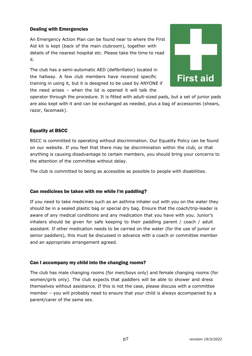#### Dealing with Emergencies

An Emergency Action Plan can be found near to where the First Aid kit is kept (back of the main clubroom), together with details of the nearest hospital etc. Please take the time to read it.

The club has a semi-automatic AED (defibrillator) located in the hallway. A few club members have received specific training in using it, but it is designed to be used by ANYONE if the need arises – when the lid is opened it will talk the



operator through the procedure. It is fitted with adult-sized pads, but a set of junior pads are also kept with it and can be exchanged as needed, plus a bag of accessories (shears, razor, facemask).

#### Equality at BSCC

BSCC is committed to operating without discrimination. Our Equality Policy can be found on our website. If you feel that there may be discrimination within the club, or that anything is causing disadvantage to certain members, you should bring your concerns to the attention of the committee without delay.

The club is committed to being as accessible as possible to people with disabilities.

#### Can medicines be taken with me while I'm paddling?

If you need to take medicines such as an asthma inhaler out with you on the water they should be in a sealed plastic bag or special dry bag. Ensure that the coach/trip-leader is aware of any medical conditions and any medication that you have with you. Junior's inhalers should be given for safe keeping to their paddling parent / coach / adult assistant. If other medication needs to be carried on the water (for the use of junior or senior paddlers), this must be discussed in advance with a coach or committee member and an appropriate arrangement agreed.

#### Can I accompany my child into the changing rooms?

The club has male changing rooms (for men/boys only) and female changing rooms (for women/girls only). The club expects that paddlers will be able to shower and dress themselves without assistance. If this is not the case, please discuss with a committee member – you will probably need to ensure that your child is always accompanied by a parent/carer of the same sex.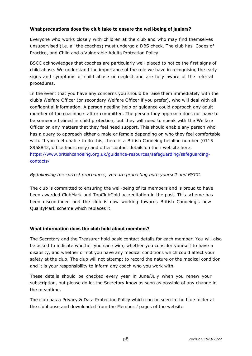#### What precautions does the club take to ensure the well-being of juniors?

Everyone who works closely with children at the club and who may find themselves unsupervised (i.e. all the coaches) must undergo a DBS check. The club has Codes of Practice, and Child and a Vulnerable Adults Protection Policy.

BSCC acknowledges that coaches are particularly well-placed to notice the first signs of child abuse. We understand the importance of the role we have in recognising the early signs and symptoms of child abuse or neglect and are fully aware of the referral procedures.

In the event that you have any concerns you should be raise them immediately with the club's Welfare Officer (or secondary Welfare Officer if you prefer), who will deal with all confidential information. A person needing help or guidance could approach any adult member of the coaching staff or committee. The person they approach does not have to be someone trained in child protection, but they will need to speak with the Welfare Officer on any matters that they feel need support. This should enable any person who has a query to approach either a male or female depending on who they feel comfortable with. If you feel unable to do this, there is a British Canoeing helpline number (0115 8968842, office hours only) and other contact details on their website here: [https://www.britishcanoeing.org.uk/guidance-resources/safeguarding/safeguarding](http://www.canoe-england.org.uk/about/safeguarding-and-protecting-children-and-vulnerable-adults/)[contacts/](http://www.canoe-england.org.uk/about/safeguarding-and-protecting-children-and-vulnerable-adults/)

#### *By following the correct procedures, you are protecting both yourself and BSCC.*

The club is committed to ensuring the well-being of its members and is proud to have been awarded ClubMark and TopClubGold accreditation in the past. This scheme has been discontinued and the club is now working towards British Canoeing's new QualityMark scheme which replaces it.

#### What information does the club hold about members?

The Secretary and the Treasurer hold basic contact details for each member. You will also be asked to indicate whether you can swim, whether you consider yourself to have a disability, and whether or not you have any medical conditions which could affect your safety at the club. The club will not attempt to record the nature or the medical condition and it is your responsibility to inform any coach who you work with.

These details should be checked every year in June/July when you renew your subscription, but please do let the Secretary know as soon as possible of any change in the meantime.

The club has a Privacy & Data Protection Policy which can be seen in the blue folder at the clubhouse and downloaded from the Members' pages of the website.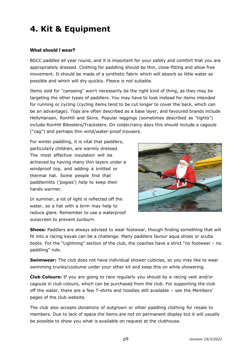### **4. Kit & Equipment**

#### What should I wear?

BSCC paddles all year round, and it is important for your safety and comfort that you are appropriately dressed. Clothing for paddling should be thin, close-fitting and allow free movement. It should be made of a synthetic fabric which will absorb as little water as possible and which will dry quickly. Fleece is not suitable.

Items sold for "canoeing" won't necessarily be the right kind of thing, as they may be targeting the other types of paddlers. You may have to look instead for items intended for running or cycling (cycling items tend to be cut longer to cover the back, which can be an advantage). Tops are often described as a base layer, and favoured brands include HellyHansen, RonHill and Skins. Popular leggings (sometimes described as "tights") include RonHill Bikesters/Tracksters. On colder/rainy days this should include a cagoule ("cag") and perhaps thin wind/water-proof trousers.

For winter paddling, it is vital that paddlers, particularly children, are warmly dressed. The most effective insulation will be achieved by having many thin layers under a windproof top, and adding a knitted or thermal hat. Some people find that paddlemitts ('pogies') help to keep their hands warmer.

In summer, a lot of light is reflected off the water, so a hat with a brim may help to reduce glare. Remember to use a waterproof sunscreen to prevent sunburn.



**Shoes:** Paddlers are always advised to wear footwear, though finding something that will fit into a racing kayak can be a challenge. Many paddlers favour aqua shoes or scuba boots. For the "Lightning" section of the club, the coaches have a strict "no footwear – no paddling" rule.

**Swimwear:** The club does not have individual shower cubicles, so you may like to wear swimming trunks/costume under your other kit and keep this on while showering.

**Club Colours:** If you are going to race regularly you should by a racing vest and/or cagoule in club colours, which can be purchased from the club. For supporting the club off the water, there are a few T-shirts and hoodies still available – see the Members' pages of the club website.

The club also accepts donations of outgrown or other paddling clothing for resale to members. Due to lack of space the items are not on permanent display but it will usually be possible to show you what is available on request at the clubhouse.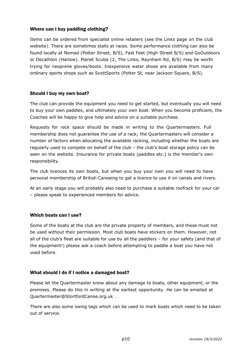#### Where can I buy paddling clothing?

Items can be ordered from specialist online retailers (see the Links page on the club website). There are sometimes stalls at races. Some performance clothing can also be found locally at Nomad (Potter Street, B/S), Fast Feet (High Street B/S) and GoOutdoors or Decathlon (Harlow). Planet Scuba (2, The Links, Raynham Rd, B/S) may be worth trying for neoprene gloves/boots. Inexpensive water shoes are available from many ordinary sports shops such as ScottSports (Potter St, near Jackson Square, B/S).

#### Should I buy my own boat?

The club can provide the equipment you need to get started, but eventually you will need to buy your own paddles, and ultimately your own boat. When you become proficient, the Coaches will be happy to give help and advice on a suitable purchase.

Requests for rack space should be made in writing to the Quartermasters. Full membership does not guarantee the use of a rack; the Quartermasters will consider a number of factors when allocating the available racking, including whether the boats are regularly used to compete on behalf of the club – the club's boat storage policy can be seen on the website. Insurance for private boats (paddles etc.) is the member's own responsibility.

The club licences its own boats, but when you buy your own you will need to have personal membership of British Canoeing to get a licence to use it on canals and rivers.

At an early stage you will probably also need to purchase a suitable roofrack for your car – please speak to experienced members for advice.

#### Which boats can I use?

Some of the boats at the club are the private property of members, and these must not be used without their permission. Most club boats have stickers on them. However, not all of the club's fleet are suitable for use by all the paddlers – for your safety (and that of the equipment!) please ask a coach before attempting to paddle a boat you have not used before.

#### What should I do if I notice a damaged boat?

Please let the Quartermaster know about any damage to boats, other equipment, or the premises. Please do this in writing at the earliest opportunity. He can be emailed at Quartermaster@StortfordCanoe.org.uk .

There are also some swing tags which can be used to mark boats which need to be taken out of service.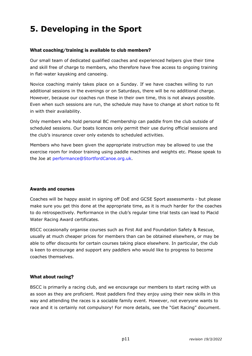## **5. Developing in the Sport**

#### What coaching/training is available to club members?

Our small team of dedicated qualified coaches and experienced helpers give their time and skill free of charge to members, who therefore have free access to ongoing training in flat-water kayaking and canoeing.

Novice coaching mainly takes place on a Sunday. If we have coaches willing to run additional sessions in the evenings or on Saturdays, there will be no additional charge. However, because our coaches run these in their own time, this is not always possible. Even when such sessions are run, the schedule may have to change at short notice to fit in with their availability.

Only members who hold personal BC membership can paddle from the club outside of scheduled sessions. Our boats licences only permit their use during official sessions and the club's insurance cover only extends to scheduled activities.

Members who have been given the appropriate instruction may be allowed to use the exercise room for indoor training using paddle machines and weights etc. Please speak to the Joe at [performance@StortfordCanoe.org.uk](mailto:performance@StortfordCanoe.org.uk).

#### Awards and courses

Coaches will be happy assist in signing off DoE and GCSE Sport assessments - but please make sure you get this done at the appropriate time, as it is much harder for the coaches to do retrospectively. Performance in the club's regular time trial tests can lead to Placid Water Racing Award certificates.

BSCC occasionally organise courses such as First Aid and Foundation Safety & Rescue, usually at much cheaper prices for members than can be obtained elsewhere, or may be able to offer discounts for certain courses taking place elsewhere. In particular, the club is keen to encourage and support any paddlers who would like to progress to become coaches themselves.

#### What about racing?

BSCC is primarily a racing club, and we encourage our members to start racing with us as soon as they are proficient. Most paddlers find they enjoy using their new skills in this way and attending the races is a sociable family event. However, not everyone wants to race and it is certainly not compulsory! For more details, see the "Get Racing" document.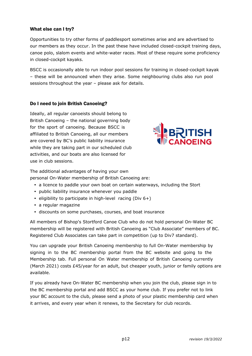#### What else can I try?

Opportunities to try other forms of paddlesport sometimes arise and are advertised to our members as they occur. In the past these have included closed-cockpit training days, canoe polo, slalom events and white-water races. Most of these require some proficiency in closed-cockpit kayaks.

BSCC is occasionally able to run indoor pool sessions for training in closed-cockpit kayak – these will be announced when they arise. Some neighbouring clubs also run pool sessions throughout the year – please ask for details.

#### Do I need to join British Canoeing?

Ideally, all regular canoeists should belong to British Canoeing – the national governing body for the sport of canoeing. Because BSCC is affiliated to British Canoeing, all our members are covered by BC's public liability insurance while they are taking part in our scheduled club activities, and our boats are also licensed for use in club sessions.



The additional advantages of having your own personal On-Water membership of British Canoeing are:

- � a licence to paddle your own boat on certain waterways, including the Stort
- � public liability insurance whenever you paddle
- $\cdot$  eligibility to participate in high-level racing (Div 6+)
- � a regular magazine
- � discounts on some purchases, courses, and boat insurance

All members of Bishop's Stortford Canoe Club who do not hold personal On-Water BC membership will be registered with British Canoeing as "Club Associate" members of BC. Registered Club Associates can take part in competition (up to Div7 standard).

You can upgrade your British Canoeing membership to full On-Water membership by signing in to the BC membership portal from the BC website and going to the Membership tab. Full personal On Water membership of British Canoeing currently (March 2021) costs £45/year for an adult, but cheaper youth, junior or family options are available.

If you already have On-Water BC membership when you join the club, please sign in to the BC membership portal and add BSCC as your home club. If you prefer not to link your BC account to the club, please send a photo of your plastic membership card when it arrives, and every year when it renews, to the Secretary for club records.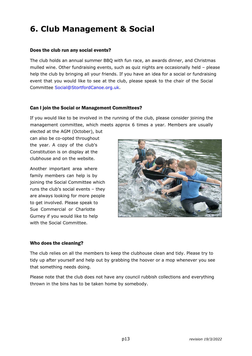### **6. Club Management & Social**

#### Does the club run any social events?

The club holds an annual summer BBQ with fun race, an awards dinner, and Christmas mulled wine. Other fundraising events, such as quiz nights are occasionally held – please help the club by bringing all your friends. If you have an idea for a social or fundraising event that you would like to see at the club, please speak to the chair of the Social Committee [Social@StortfordCanoe.org.uk.](mailto:Social@StortfordCanoe.org.uk)

#### Can I join the Social or Management Committees?

If you would like to be involved in the running of the club, please consider joining the management committee, which meets approx 6 times a year. Members are usually

elected at the AGM (October), but can also be co-opted throughout the year. A copy of the club's Constitution is on display at the clubhouse and on the website.

Another important area where family members can help is by joining the Social Committee which runs the club's social events – they are always looking for more people to get involved. Please speak to Sue Commercial or Charlotte Gurney if you would like to help with the Social Committee.



#### Who does the cleaning?

The club relies on all the members to keep the clubhouse clean and tidy. Please try to tidy up after yourself and help out by grabbing the hoover or a mop whenever you see that something needs doing.

Please note that the club does not have any council rubbish collections and everything thrown in the bins has to be taken home by somebody.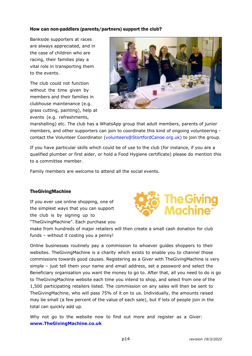#### How can non-paddlers (parents/partners) support the club?

Bankside supporters at races are always appreciated, and in the case of children who are racing, their families play a vital role in transporting them to the events.

The club could not function without the time given by members and their families in clubhouse maintenance (e.g. grass cutting, painting), help at events (e.g. refreshments,



marshalling) etc. The club has a WhatsApp group that adult members, parents of junior members, and other supporters can join to coordinate this kind of ongoing volunteering contact the Volunteer Coordinator ([volunteers@StortfordCanoe.org.uk](mailto:volunteers@StortfordCanoe.org.uk)) to join the group.

If you have particular skills which could be of use to the club (for instance, if you are a qualified plumber or first aider, or hold a Food Hygiene certificate) please do mention this to a committee member.

Family members are welcome to attend all the social events.

#### TheGivingMachine

If you ever use online shopping, one of the simplest ways that you can support the club is by signing up to "TheGivingMachine". Each purchase you



make from hundreds of major retailers will then create a small cash donation for club funds – without it costing you a penny!

Online businesses routinely pay a commission to whoever guides shoppers to their websites. TheGivingMachine is a charity which exists to enable you to channel those commissions towards good causes. Registering as a Giver with TheGivingMachine is very simple – just tell them your name and email address, set a password and select the Beneficiary organisation you want the money to go to. After that, all you need to do is go to TheGivingMachine website each time you intend to shop, and select from one of the 1,500 participating retailers listed. The commission on any sales will then be sent to TheGivingMachine, who will pass 75% of it on to us. Individually, the amounts raised may be small (a few percent of the value of each sale), but if lots of people join in the total can quickly add up.

Why not go to the website now to find out more and register as a Giver: **<www.TheGivingMachine.co.uk>**